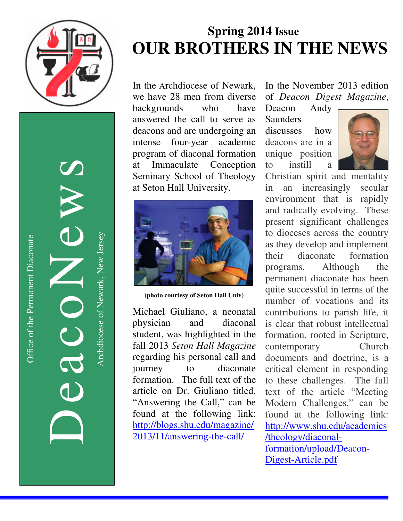

DeacoNews News Nuevon Company

Archdiocese of Newark, New Jersey Archdiocese of Newark, New Jersey

# **Spring 2014 Issue OUR BROTHERS IN THE NEWS**

In the Archdiocese of Newark, we have 28 men from diverse backgrounds who have answered the call to serve as deacons and are undergoing an intense four-year academic program of diaconal formation at Immaculate Conception Seminary School of Theology at Seton Hall University.



**(photo courtesy of Seton Hall Univ)** 

Michael Giuliano, a neonatal physician and diaconal student, was highlighted in the fall 2013 *Seton Hall Magazine* regarding his personal call and journey to diaconate formation. The full text of the article on Dr. Giuliano titled, "Answering the Call," can be found at the following link: http://blogs.shu.edu/magazine/ 2013/11/answering-the-call/

In the November 2013 edition of *Deacon Digest Magazine*,

Deacon Andy Saunders discusses how deacons are in a unique position to instill a



Christian spirit and mentality in an increasingly secular environment that is rapidly and radically evolving. These present significant challenges to dioceses across the country as they develop and implement their diaconate formation programs. Although the permanent diaconate has been quite successful in terms of the number of vocations and its contributions to parish life, it is clear that robust intellectual formation, rooted in Scripture, contemporary Church documents and doctrine, is a critical element in responding to these challenges. The full text of the article "Meeting Modern Challenges," can be found at the following link: http://www.shu.edu/academics /theology/diaconalformation/upload/Deacon-Digest-Article.pdf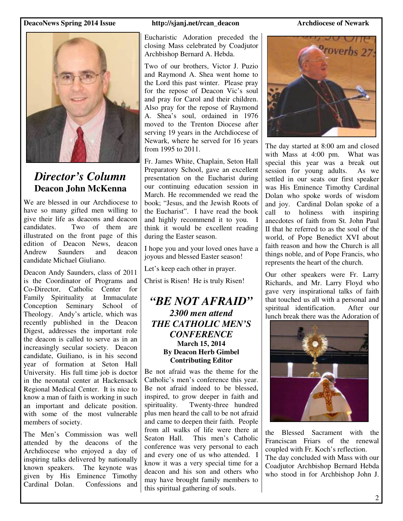

### *Director's Column*  **Deacon John McKenna**

We are blessed in our Archdiocese to have so many gifted men willing to give their life as deacons and deacon candidates. Two of them are illustrated on the front page of this edition of Deacon News, deacon Andrew Saunders and deacon candidate Michael Giuliano.

Deacon Andy Saunders, class of 2011 is the Coordinator of Programs and Co-Director, Catholic Center for Family Spirituality at Immaculate Conception Seminary School of Theology. Andy's article, which was recently published in the Deacon Digest, addresses the important role the deacon is called to serve as in an increasingly secular society. Deacon candidate, Guiliano, is in his second year of formation at Seton Hall University. His full time job is doctor in the neonatal center at Hackensack Regional Medical Center. It is nice to know a man of faith is working in such an important and delicate position. with some of the most vulnerable members of society.

The Men's Commission was well attended by the deacons of the Archdiocese who enjoyed a day of inspiring talks delivered by nationally known speakers. The keynote was given by His Eminence Timothy Cardinal Dolan. Confessions and

Eucharistic Adoration preceded the closing Mass celebrated by Coadjutor Archbishop Bernard A. Hebda.

Two of our brothers, Victor J. Puzio and Raymond A. Shea went home to the Lord this past winter. Please pray for the repose of Deacon Vic's soul and pray for Carol and their children. Also pray for the repose of Raymond A. Shea's soul, ordained in 1976 moved to the Trenton Diocese after serving 19 years in the Archdiocese of Newark, where he served for 16 years from 1995 to 2011.

Fr. James White, Chaplain, Seton Hall Preparatory School, gave an excellent presentation on the Eucharist during our continuing education session in March. He recommended we read the book; "Jesus, and the Jewish Roots of the Eucharist". I have read the book and highly recommend it to you. I think it would be excellent reading during the Easter season.

I hope you and your loved ones have a joyous and blessed Easter season!

Let's keep each other in prayer.

Christ is Risen! He is truly Risen!

### *"BE NOT AFRAID" 2300 men attend THE CATHOLIC MEN'S CONFERENCE*  **March 15, 2014 By Deacon Herb Gimbel Contributing Editor**

Be not afraid was the theme for the Catholic's men's conference this year. Be not afraid indeed to be blessed, inspired, to grow deeper in faith and spirituality. Twenty-three hundred plus men heard the call to be not afraid and came to deepen their faith. People from all walks of life were there at Seaton Hall. This men's Catholic conference was very personal to each and every one of us who attended. I know it was a very special time for a deacon and his son and others who may have brought family members to this spiritual gathering of souls.



The day started at 8:00 am and closed with Mass at 4:00 pm. What was special this year was a break out session for young adults. As we session for young adults. settled in our seats our first speaker was His Eminence Timothy Cardinal Dolan who spoke words of wisdom and joy. Cardinal Dolan spoke of a call to holiness with inspiring anecdotes of faith from St. John Paul II that he referred to as the soul of the world, of Pope Benedict XVI about faith reason and how the Church is all things noble, and of Pope Francis, who represents the heart of the church.

Our other speakers were Fr. Larry Richards, and Mr. Larry Floyd who gave very inspirational talks of faith that touched us all with a personal and spiritual identification. After our lunch break there was the Adoration of



the Blessed Sacrament with the Franciscan Friars of the renewal coupled with Fr. Koch's reflection. The day concluded with Mass with our Coadjutor Archbishop Bernard Hebda who stood in for Archbishop John J.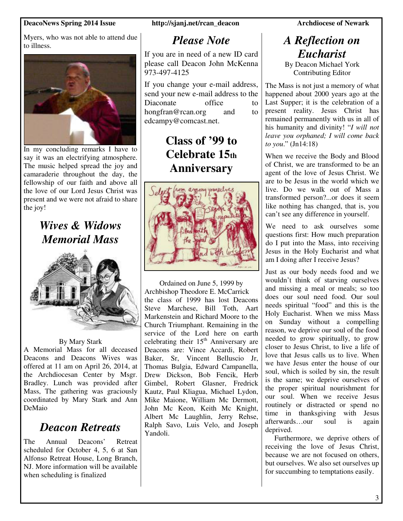Myers, who was not able to attend due to illness.



In my concluding remarks I have to say it was an electrifying atmosphere. The music helped spread the joy and camaraderie throughout the day, the fellowship of our faith and above all the love of our Lord Jesus Christ was present and we were not afraid to share the joy!

## *Wives & Widows Memorial Mass*



### By Mary Stark

A Memorial Mass for all deceased Deacons and Deacons Wives was offered at 11 am on April 26, 2014, at the Archdiocesan Center by Msgr. Bradley. Lunch was provided after Mass, The gathering was graciously coordinated by Mary Stark and Ann DeMaio

## *Deacon Retreats*

The Annual Deacons' Retreat scheduled for October 4, 5, 6 at San Alfonso Retreat House, Long Branch, NJ. More information will be available when scheduling is finalized

### *Please Note*

If you are in need of a new ID card please call Deacon John McKenna 973-497-4125

If you change your e-mail address, send your new e-mail address to the Diaconate office to hongfran@rcan.org and to edcampy@comcast.net.

## **Class of '99 to Celebrate 15th Anniversary**



Ordained on June 5, 1999 by Archbishop Theodore E. McCarrick the class of 1999 has lost Deacons Steve Marchese, Bill Toth, Aart Markenstein and Richard Moore to the Church Triumphant. Remaining in the service of the Lord here on earth celebrating their  $15<sup>th</sup>$  Anniversary are Deacons are: Vince Accardi, Robert Baker, Sr, Vincent Belluscio Jr, Thomas Bulgia, Edward Campanella, Drew Dickson, Bob Fencik, Herb Gimbel, Robert Glasner, Fredrick Kautz, Paul Kliagua, Michael Lydon, Mike Maione, William Mc Dermott, John Mc Keon, Keith Mc Knight, Albert Mc Laughlin, Jerry Rehse, Ralph Savo, Luis Velo, and Joseph Yandoli.

## *A Reflection on Eucharist*

By Deacon Michael York Contributing Editor

The Mass is not just a memory of what happened about 2000 years ago at the Last Supper; it is the celebration of a present reality. Jesus Christ has remained permanently with us in all of his humanity and divinity! "*I will not leave you orphaned; I will come back to you*." (Jn14:18)

When we receive the Body and Blood of Christ, we are transformed to be an agent of the love of Jesus Christ. We are to be Jesus in the world which we live. Do we walk out of Mass a transformed person?...or does it seem like nothing has changed, that is, you can't see any difference in yourself.

We need to ask ourselves some questions first: How much preparation do I put into the Mass, into receiving Jesus in the Holy Eucharist and what am I doing after I receive Jesus?

Just as our body needs food and we wouldn't think of starving ourselves and missing a meal or meals; so too does our soul need food. Our soul needs spiritual "food" and this is the Holy Eucharist. When we miss Mass on Sunday without a compelling reason, we deprive our soul of the food needed to grow spiritually, to grow closer to Jesus Christ, to live a life of love that Jesus calls us to live. When we have Jesus enter the house of our soul, which is soiled by sin, the result is the same; we deprive ourselves of the proper spiritual nourishment for our soul. When we receive Jesus routinely or distracted or spend no time in thanksgiving with Jesus afterwards…our soul is again deprived.

 Furthermore, we deprive others of receiving the love of Jesus Christ, because we are not focused on others, but ourselves. We also set ourselves up for succumbing to temptations easily.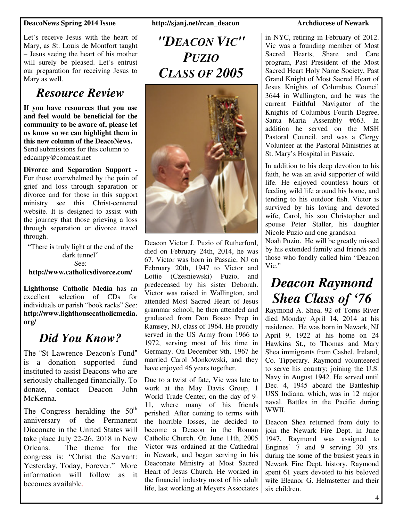Let's receive Jesus with the heart of Mary, as St. Louis de Montfort taught – Jesus seeing the heart of his mother will surely be pleased. Let's entrust our preparation for receiving Jesus to Mary as well.

## *Resource Review*

**If you have resources that you use and feel would be beneficial for the community to be aware of, please let us know so we can highlight them in this new column of the DeacoNews.**  Send submissions for this column to edcampy@comcast.net

**Divorce and Separation Support -**  For those overwhelmed by the pain of grief and loss through separation or divorce and for those in this support ministry see this Christ-centered website. It is designed to assist with the journey that those grieving a loss through separation or divorce travel through.

"There is truly light at the end of the dark tunnel" See: **http://www.catholicsdivorce.com/** 

**Lighthouse Catholic Media** has an excellent selection of CDs for individuals or parish "book racks" See: **http://www.lighthousecatholicmedia. org/**

# *Did You Know?*

The "St Lawrence Deacon's Fund" is a donation supported fund instituted to assist Deacons who are seriously challenged financially. To donate, contact Deacon John McKenna.

The Congress heralding the  $50<sup>th</sup>$ anniversary of the Permanent Diaconate in the United States will take place July 22-26, 2018 in New Orleans. The theme for the congress is: "Christ the Servant: Yesterday, Today, Forever." More information will follow as it becomes available.

*"DEACON VIC" PUZIO CLASS OF 2005* 



Deacon Victor J. Puzio of Rutherford, died on February 24th, 2014, he was 67. Victor was born in Passaic, NJ on February 20th, 1947 to Victor and Lottie (Czesniewski) Puzio, and predeceased by his sister Deborah. Victor was raised in Wallington, and attended Most Sacred Heart of Jesus grammar school; he then attended and graduated from Don Bosco Prep in Ramsey, NJ, class of 1964. He proudly served in the US Army from 1966 to 1972, serving most of his time in Germany. On December 9th, 1967 he married Carol Monkowski, and they have enjoyed 46 years together.

Due to a twist of fate, Vic was late to work at the May Davis Group, 1 World Trade Center, on the day of 9- 11, where many of his friends perished. After coming to terms with the horrible losses, he decided to become a Deacon in the Roman Catholic Church. On June 11th, 2005 Victor was ordained at the Cathedral in Newark, and began serving in his Deaconate Ministry at Most Sacred Heart of Jesus Church. He worked in the financial industry most of his adult life, last working at Meyers Associates

in NYC, retiring in February of 2012. Vic was a founding member of Most Sacred Hearts, Share and Care program, Past President of the Most Sacred Heart Holy Name Society, Past Grand Knight of Most Sacred Heart of Jesus Knights of Columbus Council 3644 in Wallington, and he was the current Faithful Navigator of the Knights of Columbus Fourth Degree, Santa Maria Assembly #663. In addition he served on the MSH Pastoral Council, and was a Clergy Volunteer at the Pastoral Ministries at St. Mary's Hospital in Passaic.

In addition to his deep devotion to his faith, he was an avid supporter of wild life. He enjoyed countless hours of feeding wild life around his home, and tending to his outdoor fish. Victor is survived by his loving and devoted wife, Carol, his son Christopher and spouse Peter Staller, his daughter Nicole Puzio and one grandson Noah Puzio. He will be greatly missed by his extended family and friends and those who fondly called him "Deacon Vic."

# *Deacon Raymond Shea Class of '76*

Raymond A. Shea, 92 of Toms River died Monday April 14, 2014 at his residence. He was born in Newark, NJ April 9, 1922 at his home on 24 Hawkins St., to Thomas and Mary Shea immigrants from Cashel, Ireland, Co. Tipperary. Raymond volunteered to serve his country; joining the U.S. Navy in August 1942. He served until Dec. 4, 1945 aboard the Battleship USS Indiana, which, was in 12 major naval. Battles in the Pacific during WWII.

Deacon Shea returned from duty to join the Newark Fire Dept. in June 1947. Raymond was assigned to Engines' 7 and 9 serving 30 yrs. during the some of the busiest years in Newark Fire Dept. history. Raymond spent 61 years devoted to his beloved wife Eleanor G. Helmstetter and their six children.